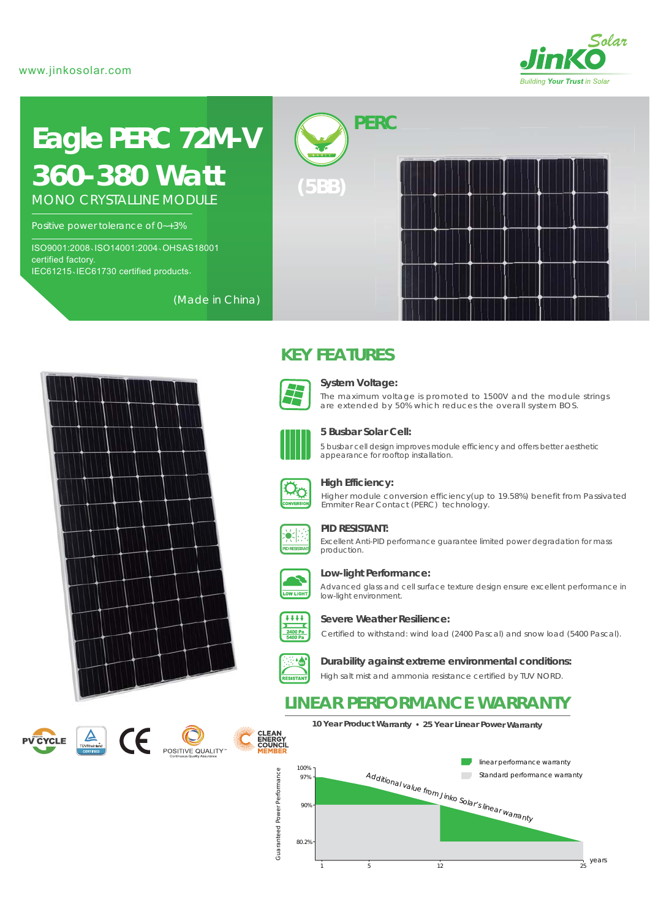

# **Eagle PERC 72M-V** *360-380 Watt*

MONO CRYSTALLINE MODULE

Positive power tolerance of 0~+3%

ISO9001:2008、ISO14001:2004、OHSAS18001 certified factory. IEC61215、IEC61730 certified products.

(Made in China)











**(5BB)**



### **System Voltage:**

*PERC*

The maximum voltage is promoted to 1500V and the module strings are extended by 50% which reduces the overall system BOS.



### **5 Busbar Solar Cell:**

5 busbar cell design improves module efficiency and offers better aesthetic appearance for rooftop installation.



### **High Efficiency:**

Higher module conversion efficiency(up to 19.58%) benefit from Passivated Emmiter Rear Contact (PERC) technology.



### **PID RESISTANT:**

Excellent Anti-PID performance guarantee limited power degradation for mass production.



### **Low-light Performance:**

Advanced glass and cell surface texture design ensure excellent performance in low-light environment.



**Severe Weather Resilience:**

Certified to withstand: wind load (2400 Pascal) and snow load (5400 Pascal).



High salt mist and ammonia resistance certified by TUV NORD. **Durability against extreme environmental conditions:**

## **LINEAR PERFORMANCE WARRANTY**